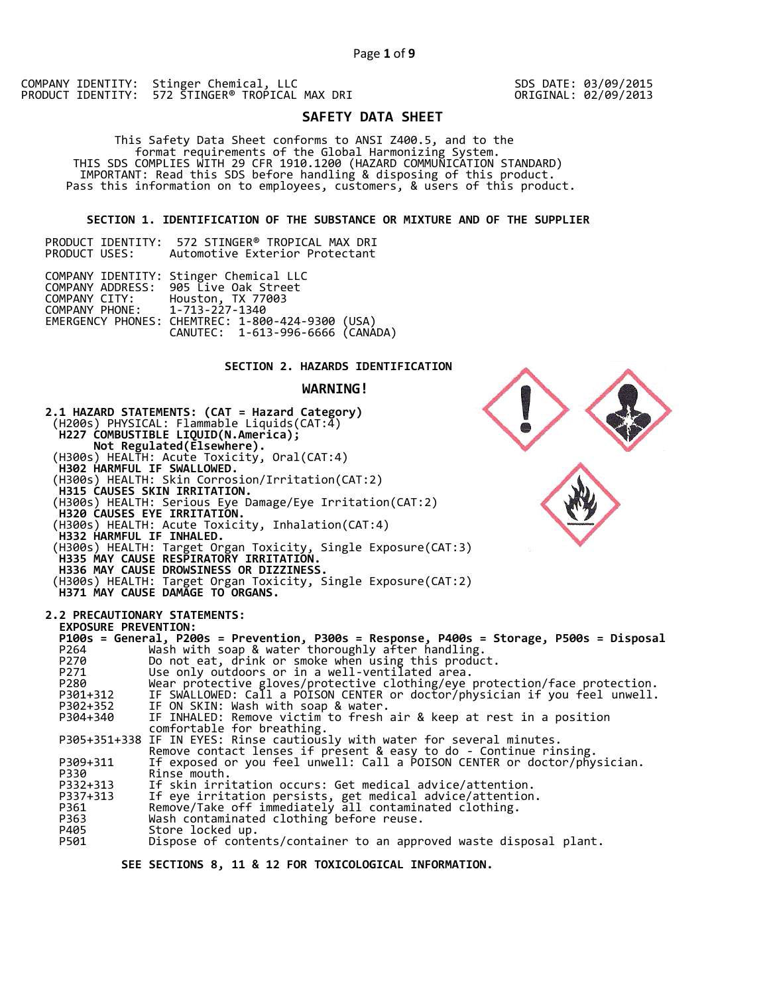COMPANY IDENTITY: Stinger Chemical, LLC PRODUCT IDENTITY: 572 STINGER® TROPICAL MAX DRI SDS DATE: 03/09/2015 ORIGINAL: 02/09/2013

# **SAFETY DATA SHEET**

 This Safety Data Sheet conforms to ANSI Z400.5, and to the format requirements of the Global Harmonizing System. THIS SDS COMPLIES WITH 29 CFR 1910.1200 (HAZARD COMMUNICATION STANDARD) IMPORTANT: Read this SDS before handling & disposing of this product. Pass this information on to employees, customers, & users of this product.

## **SECTION 1. IDENTIFICATION OF THE SUBSTANCE OR MIXTURE AND OF THE SUPPLIER**

|               | PRODUCT IDENTITY: | 572 STINGER® TROPICAL MAX DRI  |  |
|---------------|-------------------|--------------------------------|--|
| PRODUCT USES: |                   | Automotive Exterior Protectant |  |

|                               | COMPANY IDENTITY: Stinger Chemical LLC<br>COMPANY ADDRESS: 905 Live Oak Street       |  |
|-------------------------------|--------------------------------------------------------------------------------------|--|
| COMPANY PHONE: 1-713-227-1340 | COMPANY CITY: Houston, TX 77003                                                      |  |
|                               | EMERGENCY PHONES: CHEMTREC: 1-800-424-9300 (USA)<br>CANUTEC: 1-613-996-6666 (CANÁDA) |  |

## **SECTION 2. HAZARDS IDENTIFICATION**

### **WARNING!**



 **SEE SECTIONS 8, 11 & 12 FOR TOXICOLOGICAL INFORMATION.**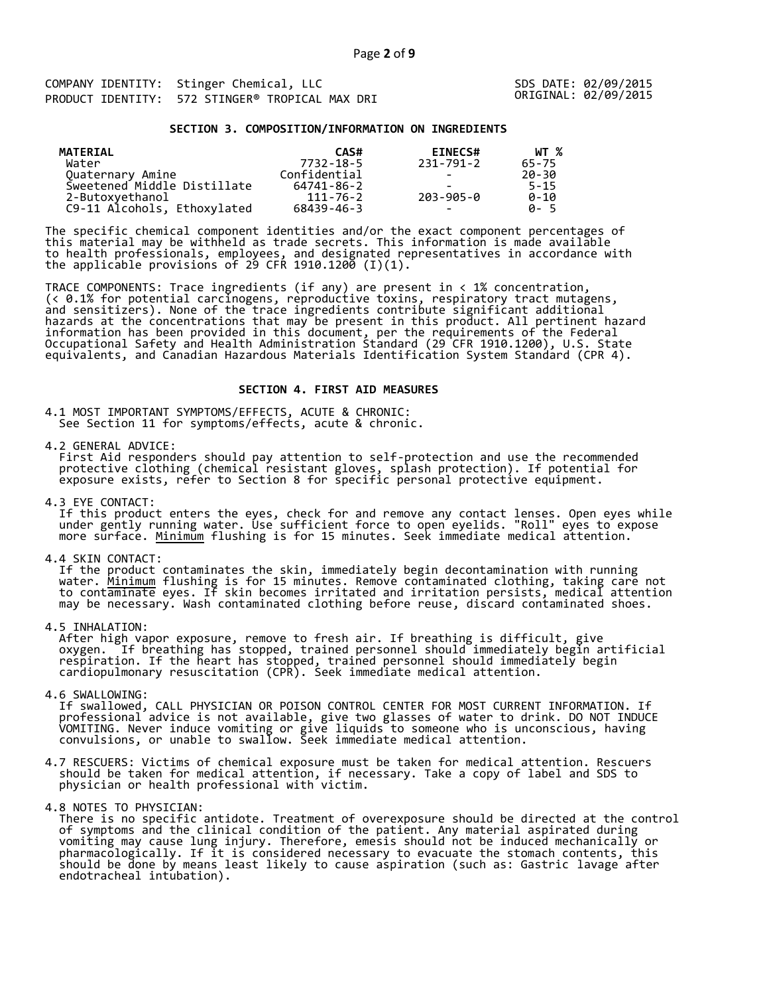COMPANY IDENTITY: Stinger Chemical, LLC<br>
DRODUCT IDENTITY: 572 STINGER® TRORICAL MAY DRINER SOMETHAL: 02/09/2015 PRODUCT IDENTITY: 572 STINGER® TROPICAL MAX DRI

### **SECTION 3. COMPOSITION/INFORMATION ON INGREDIENTS**

| MATERIAL                    | CAS#         | <b>EINECS#</b>           | WT %     |
|-----------------------------|--------------|--------------------------|----------|
| Water                       | 7732-18-5    | 231-791-2                | 65-75    |
| Quaternary Amine            | Confidential | -                        | 20-30    |
| Sweetened Middle Distillate | 64741-86-2   |                          | $5 - 15$ |
| 2-Butoxyethanol             | 111-76-2     | 203-905-0                | $0 - 10$ |
| C9-11 Alcohols, Ethoxylated | 68439-46-3   | $\overline{\phantom{0}}$ | A-5      |

The specific chemical component identities and/or the exact component percentages of this material may be withheld as trade secrets. This information is made available to health professionals, employees, and designated representatives in accordance with the applicable provisions of 29 CFR 1910.1200̄ (I)(1).  $\overline{\phantom{a}}$ 

TRACE COMPONENTS: Trace ingredients (if any) are present in < 1% concentration, (< 0.1% for potential carcinogens, reproductive toxins, respiratory tract mutagens, and sensitizers). None of the trace ingredients contribute significant additional hazards at the concentrations that may be present in this product. All pertinent hazard information has been provided in this document, per the requirements of the Federal Occupational Safety and Health Administration Standard (29 CFR 1910.1200), U.S. State equivalents, and Canadian Hazardous Materials Identification System Standard (CPR 4).

### **SECTION 4. FIRST AID MEASURES**

4.1 MOST IMPORTANT SYMPTOMS/EFFECTS, ACUTE & CHRONIC: See Section 11 for symptoms/effects, acute & chronic.

4.2 GENERAL ADVICE:

 First Aid responders should pay attention to self-protection and use the recommended protective clothing (chemical resistant gloves, splash protection). If potential for exposure exists, refer to Section 8 for specific personal protective equipment.

4.3 EYE CONTACT:

 If this product enters the eyes, check for and remove any contact lenses. Open eyes while under gently running water. Use sufficient force to open eyelids. "Roll" eyes to expose more surface. <u>Minimum</u> flushing is for 15 minutes. Seek immediate medical attention.

4.4 SKIN CONTACT:

 If the product contaminates the skin, immediately begin decontamination with running water. <u>Minimum</u> flushing is for 15 minutes. Remove contaminated clothing, taking care not to contaminate eyes. If skin becomes irritated and irritation persists, medical attention may be necessary. Wash contaminated clothing before reuse, discard contaminated shoes.

4.5 INHALATION:

 After high vapor exposure, remove to fresh air. If breathing is difficult, give oxygen. If breathing has stopped, trained personnel should immediately begin artificial respiration. If the heart has stopped, trained personnel should immediately begin cardiopulmonary resuscitation (CPR). Seek immediate medical attention.

4.6 SWALLOWING:

 If swallowed, CALL PHYSICIAN OR POISON CONTROL CENTER FOR MOST CURRENT INFORMATION. If professional advice is not available, give two glasses of water to drink. DO NOT INDUCE VOMITING. Never induce vomiting or give liquids to someone who is unconscious, having convulsions, or unable to swallow. Seek immediate medical attention.

- 4.7 RESCUERS: Victims of chemical exposure must be taken for medical attention. Rescuers should be taken for medical attention, if necessary. Take a copy of label and SDS to physician or health professional with victim.
- 4.8 NOTES TO PHYSICIAN:
- There is no specific antidote. Treatment of overexposure should be directed at the control of symptoms and the clinical condition of the patient. Any material aspirated during vomiting may cause lung injury. Therefore, emesis should not be induced mechanically or pharmacologically. If it is considered necessary to evacuate the stomach contents, this should be done by means least likely to cause aspiration (such as: Gastric lavage after endotracheal intubation).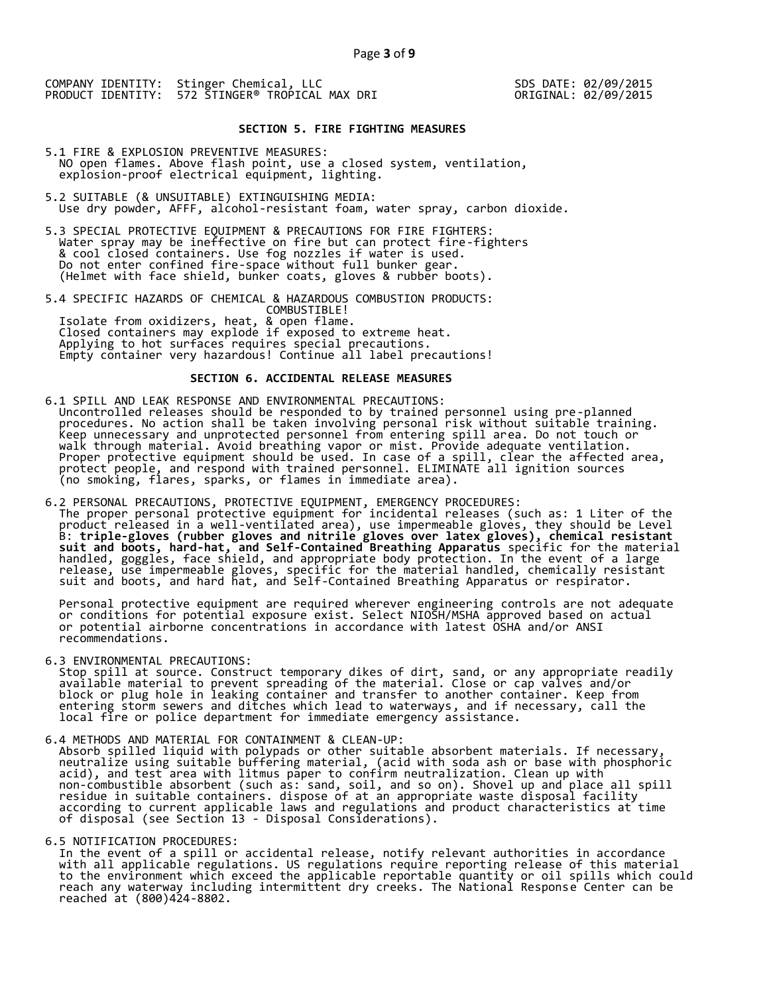## **SECTION 5. FIRE FIGHTING MEASURES**

- 5.1 FIRE & EXPLOSION PREVENTIVE MEASURES: NO open flames. Above flash point, use a closed system, ventilation, explosion-proof electrical equipment, lighting.
- 5.2 SUITABLE (& UNSUITABLE) EXTINGUISHING MEDIA: Use dry powder, AFFF, alcohol-resistant foam, water spray, carbon dioxide.
- 5.3 SPECIAL PROTECTIVE EQUIPMENT & PRECAUTIONS FOR FIRE FIGHTERS: Water spray may be ineffective on fire but can protect fire-fighters & cool closed containers. Use fog nozzles if water is used. Do not enter confined fire-space without full bunker gear. (Helmet with face shield, bunker coats, gloves & rubber boots).
- 5.4 SPECIFIC HAZARDS OF CHEMICAL & HAZARDOUS COMBUSTION PRODUCTS: COMBUSTIBLE! Isolate from oxidizers, heat, & open flame. Closed containers may explode if exposed to extreme heat. Applying to hot surfaces requires special precautions. Empty container very hazardous! Continue all label precautions!

## **SECTION 6. ACCIDENTAL RELEASE MEASURES**

- 6.1 SPILL AND LEAK RESPONSE AND ENVIRONMENTAL PRECAUTIONS: Uncontrolled releases should be responded to by trained personnel using pre-planned procedures. No action shall be taken involving personal risk without suitable training. Keep unnecessary and unprotected personnel from entering spill area. Do not touch or walk through material. Avoid breathing vapor or mist. Provide adequate ventilation. Proper protective equipment should be used. In case of a spill, clear the affected area, protect people, and respond with trained personnel. ELIMINATE all ignition sources (no smoking, flares, sparks, or flames in immediate area).
- 6.2 PERSONAL PRECAUTIONS, PROTECTIVE EQUIPMENT, EMERGENCY PROCEDURES: The proper personal protective equipment for incidental releases (such as: 1 Liter of the product released in a well-ventilated area), use impermeable gloves, they should be Level B: **triple-gloves (rubber gloves and nitrile gloves over latex gloves), chemical resistant suit and boots, hard-hat, and Self-Contained Breathing Apparatus** specific for the material handled, goggles, face shield, and appropriate body protection. In the event of a large release, use impermeable gloves, specific for the material handled, chemically resistant suit and boots, and hard hat, and Self-Contained Breathing Apparatus or respirator.

 Personal protective equipment are required wherever engineering controls are not adequate or conditions for potential exposure exist. Select NIOSH/MSHA approved based on actual or potential airborne concentrations in accordance with latest OSHA and/or ANSI recommendations.

6.3 ENVIRONMENTAL PRECAUTIONS:

 Stop spill at source. Construct temporary dikes of dirt, sand, or any appropriate readily available material to prevent spreading of the material. Close or cap valves and/or block or plug hole in leaking container and transfer to another container. Keep from entering storm sewers and ditches which lead to waterways, and if necessary, call the local fire or police department for immediate emergency assistance.

6.4 METHODS AND MATERIAL FOR CONTAINMENT & CLEAN-UP:

 Absorb spilled liquid with polypads or other suitable absorbent materials. If necessary, neutralize using suitable buffering material, (acid with soda ash or base with phosphoric acid), and test area with litmus paper to confirm neutralization. Clean up with non-combustible absorbent (such as: sand, soil, and so on). Shovel up and place all spill residue in suitable containers. dispose of at an appropriate waste disposal facility according to current applicable laws and regulations and product characteristics at time of disposal (see Section 13 - Disposal Considerations).

6.5 NOTIFICATION PROCEDURES:

 In the event of a spill or accidental release, notify relevant authorities in accordance with all applicable regulations. US regulations require reporting release of this material to the environment which exceed the applicable reportable quantity or oil spills which could reach any waterway including intermittent dry creeks. The National Response Center can be reached at (800)424-8802.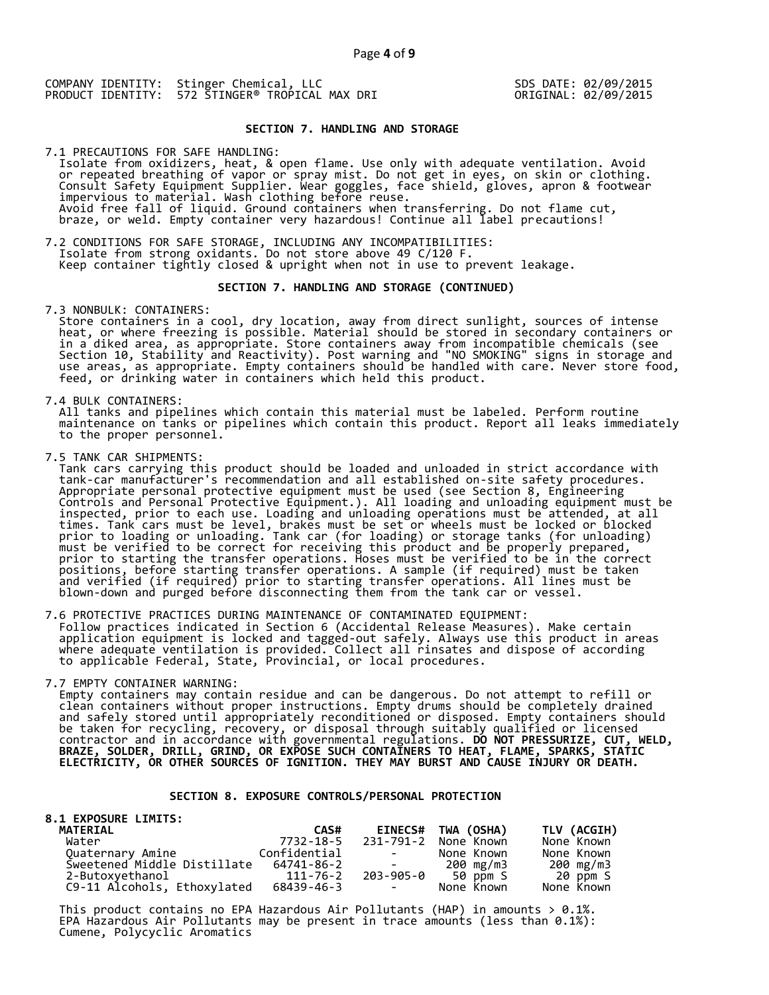### **SECTION 7. HANDLING AND STORAGE**

7.1 PRECAUTIONS FOR SAFE HANDLING: Isolate from oxidizers, heat, & open flame. Use only with adequate ventilation. Avoid or repeated breathing of vapor or spray mist. Do not get in eyes, on skin or clothing. Consult Safety Equipment Supplier. Wear goggles, face shield, gloves, apron & footwear impervious to material. Wash clothing before reuse. Avoid free fall of liquid. Ground containers when transferring. Do not flame cut, braze, or weld. Empty container very hazardous! Continue all label precautions!

7.2 CONDITIONS FOR SAFE STORAGE, INCLUDING ANY INCOMPATIBILITIES: Isolate from strong oxidants. Do not store above 49 C/120 F. Keep container tightly closed & upright when not in use to prevent leakage.

### **SECTION 7. HANDLING AND STORAGE (CONTINUED)**

7.3 NONBULK: CONTAINERS:

 Store containers in a cool, dry location, away from direct sunlight, sources of intense heat, or where freezing is possible. Material should be stored in secondary containers or in a diked area, as appropriate. Store containers away from incompatible chemicals (see Section 10, Stability and Reactivity). Post warning and "NO SMOKING" signs in storage and use areas, as appropriate. Empty containers should be handled with care. Never store food, feed, or drinking water in containers which held this product.

7.4 BULK CONTAINERS:

 All tanks and pipelines which contain this material must be labeled. Perform routine maintenance on tanks or pipelines which contain this product. Report all leaks immediately to the proper personnel.

7.5 TANK CAR SHIPMENTS:

 Tank cars carrying this product should be loaded and unloaded in strict accordance with tank-car manufacturer's recommendation and all established on-site safety procedures. Appropriate personal protective equipment must be used (see Section 8, Engineering Controls and Personal Protective Equipment.). All loading and unloading equipment must be inspected, prior to each use. Loading and unloading operations must be attended, at all times. Tank cars must be level, brakes must be set or wheels must be locked or blocked prior to loading or unloading. Tank car (for loading) or storage tanks (for unloading) must be verified to be correct for receiving this product and be properly prepared, prior to starting the transfer operations. Hoses must be verified to be in the correct positions, before starting transfer operations. A sample (if required) must be taken and verified (if required) prior to starting transfer operations. All lines must be blown-down and purged before disconnecting them from the tank car or vessel.

7.6 PROTECTIVE PRACTICES DURING MAINTENANCE OF CONTAMINATED EQUIPMENT: Follow practices indicated in Section 6 (Accidental Release Measures). Make certain application equipment is locked and tagged-out safely. Always use this product in areas where adequate ventilation is provided. Collect all rinsates and dispose of according to applicable Federal, State, Provincial, or local procedures.

7.7 EMPTY CONTAINER WARNING:

 Empty containers may contain residue and can be dangerous. Do not attempt to refill or clean containers without proper instructions. Empty drums should be completely drained and safely stored until appropriately reconditioned or disposed. Empty containers should be taken for recycling, recovery, or disposal through suitably qualified or licensed contractor and in accordance with governmental regulations. **DO NOT PRESSURIZE, CUT, WELD, BRAZE, SOLDER, DRILL, GRIND, OR EXPOSE SUCH CONTAINERS TO HEAT, FLAME, SPARKS, STATIC ELECTRICITY, OR OTHER SOURCES OF IGNITION. THEY MAY BURST AND CAUSE INJURY OR DEATH.**

### **SECTION 8. EXPOSURE CONTROLS/PERSONAL PROTECTION**

| <b>8.1 EXPOSURE LIMITS:</b> |              |                                                                                                   |                    |             |
|-----------------------------|--------------|---------------------------------------------------------------------------------------------------|--------------------|-------------|
| <b>MATERIAL</b>             | CAS#         |                                                                                                   | EINECS# TWA (OSHA) | TLV (ACGIH) |
| Water                       | 7732-18-5    | 231-791-2                                                                                         | None Known         | None Known  |
| Quaternary Amine            | Confidential | <b>Contract Contract</b>                                                                          | None Known         | None Known  |
| Sweetened Middle Distillate | 64741-86-2   | $\mathcal{L}_{\text{max}}$ and $\mathcal{L}_{\text{max}}$ . The set of $\mathcal{L}_{\text{max}}$ | 200 mg/m3          | 200 mg/m3   |
| 2-Butoxyethanol             | 111-76-2     |                                                                                                   | 203-905-0 50 ppm S | 20 ppm S    |
| C9-11 Alcohols, Ethoxylated | 68439-46-3   | <b>Contract Contract</b>                                                                          | None Known         | None Known  |

This product contains no EPA Hazardous Air Pollutants (HAP) in amounts  $> 0.1\%$ . EPA Hazardous Air Pollutants may be present in trace amounts (less than 0.1%): Cumene, Polycyclic Aromatics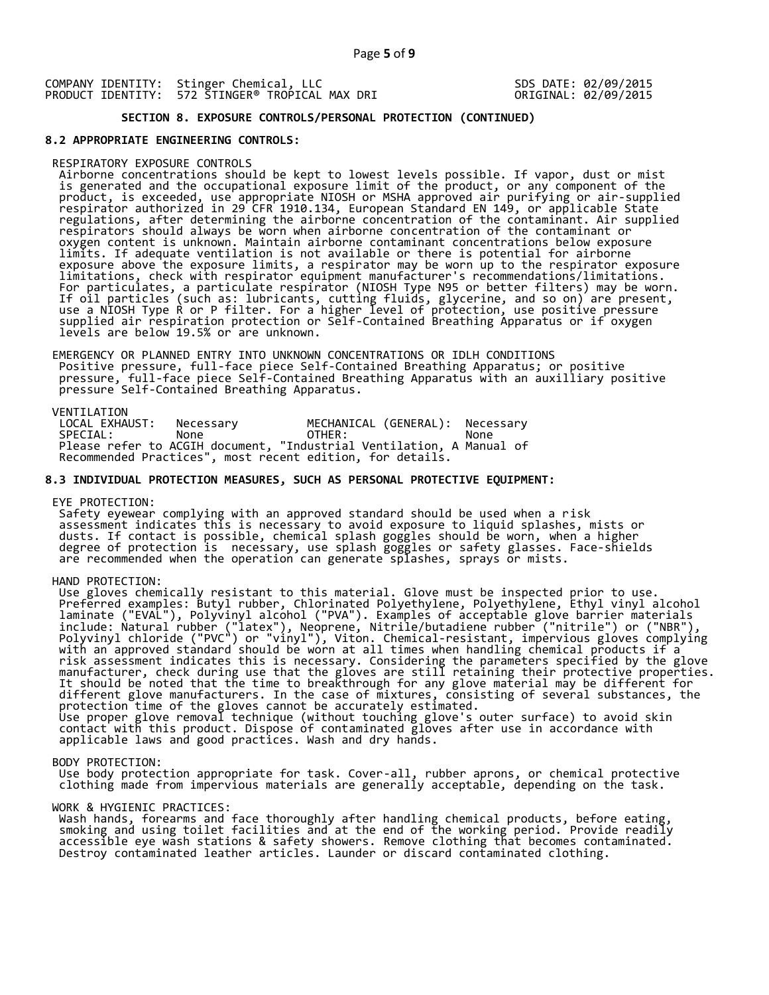## **SECTION 8. EXPOSURE CONTROLS/PERSONAL PROTECTION (CONTINUED)**

### **8.2 APPROPRIATE ENGINEERING CONTROLS:**

#### RESPIRATORY EXPOSURE CONTROLS

 Airborne concentrations should be kept to lowest levels possible. If vapor, dust or mist is generated and the occupational exposure limit of the product, or any component of the product, is exceeded, use appropriate NIOSH or MSHA approved air purifying or air-supplied respirator authorized in 29 CFR 1910.134, European Standard EN 149, or applicable State regulations, after determining the airborne concentration of the contaminant. Air supplied respirators should always be worn when airborne concentration of the contaminant or oxygen content is unknown. Maintain airborne contaminant concentrations below exposure limits. If adequate ventilation is not available or there is potential for airborne exposure above the exposure limits, a respirator may be worn up to the respirator exposure limitations, check with respirator equipment manufacturer's recommendations/limitations. For particulates, a particulate respirator (NIOSH Type N95 or better filters) may be worn. If oil particles (such as: lubricants, cutting fluids, glycerine, and so on) are present, use a NIOSH Type R or P filter. For a higher level of protection, use positive pressure supplied air respiration protection or Self-Contained Breathing Apparatus or if oxygen levels are below 19.5% or are unknown.

 EMERGENCY OR PLANNED ENTRY INTO UNKNOWN CONCENTRATIONS OR IDLH CONDITIONS Positive pressure, full-face piece Self-Contained Breathing Apparatus; or positive pressure, full-face piece Self-Contained Breathing Apparatus with an auxilliary positive pressure Self-Contained Breathing Apparatus.

VENTILATION<br>LOCAL EXHAUST: LOCAL EXHAUST: Necessary MECHANICAL (GENERAL): Necessary<br>SPECIAL: None OTHER: None SPECIAL: None OTHER: None Please refer to ACGIH document, "Industrial Ventilation, A Manual of Recommended Practices", most recent edition, for details.

### **8.3 INDIVIDUAL PROTECTION MEASURES, SUCH AS PERSONAL PROTECTIVE EQUIPMENT:**

EYE PROTECTION:

 Safety eyewear complying with an approved standard should be used when a risk assessment indicates this is necessary to avoid exposure to liquid splashes, mists or dusts. If contact is possible, chemical splash goggles should be worn, when a higher degree of protection is necessary, use splash goggles or safety glasses. Face-shields are recommended when the operation can generate splashes, sprays or mists.

HAND PROTECTION:

 Use gloves chemically resistant to this material. Glove must be inspected prior to use. Preferred examples: Butyl rubber, Chlorinated Polyethylene, Polyethylene, Ethyl vinyl alcohol laminate ("EVAL"), Polyvinyl alcohol ("PVA"). Examples of acceptable glove barrier materials include: Natural rubber ("latex"), Neoprene, Nitrile/butadiene rubber ("nitrile") or ("NBR"), Polyvinyl chloride ("PVC") or "vinyl"), Viton. Chemical-resistant, impervious gloves complying with an approved standard should be worn at all times when handling chemical products if a risk assessment indicates this is necessary. Considering the parameters specified by the glove manufacturer, check during use that the gloves are still retaining their protective properties. It should be noted that the time to breakthrough for any glove material may be different for different glove manufacturers. In the case of mixtures, consisting of several substances, the protection time of the gloves cannot be accurately estimated. Use proper glove removal technique (without touching glove's outer surface) to avoid skin contact with this product. Dispose of contaminated gloves after use in accordance with applicable laws and good practices. Wash and dry hands.

#### BODY PROTECTION:

 Use body protection appropriate for task. Cover-all, rubber aprons, or chemical protective clothing made from impervious materials are generally acceptable, depending on the task.

### WORK & HYGIENIC PRACTICES:

 Wash hands, forearms and face thoroughly after handling chemical products, before eating, smoking and using toilet facilities and at the end of the working period. Provide readily accessible eye wash stations & safety showers. Remove clothing that becomes contaminated. Destroy contaminated leather articles. Launder or discard contaminated clothing.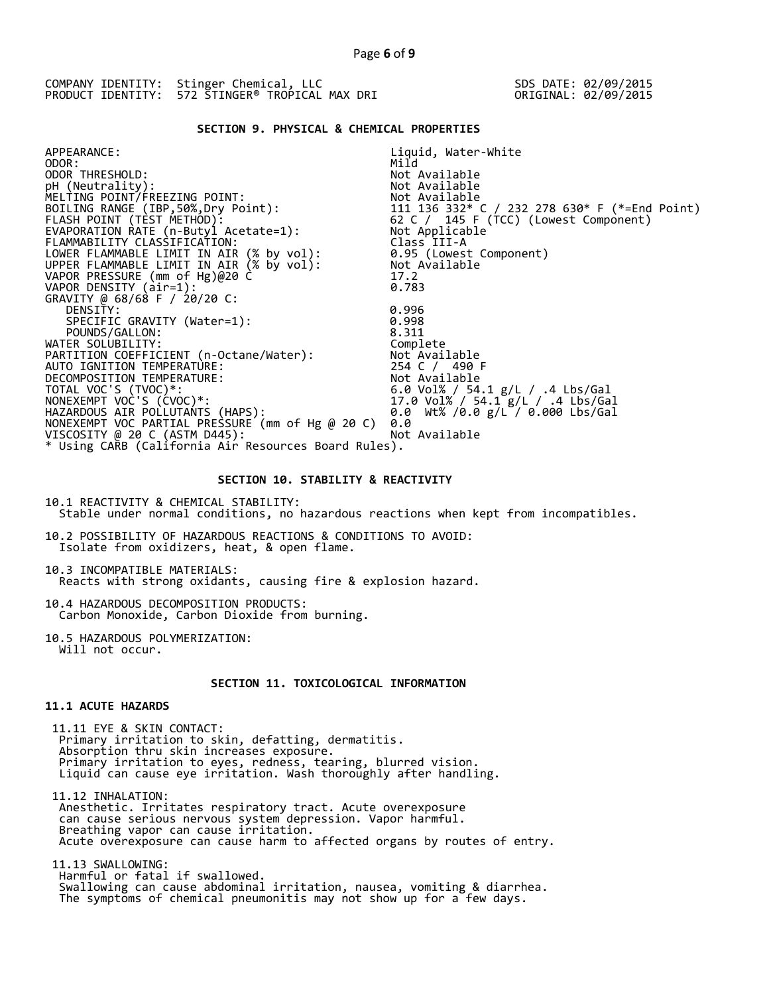## **SECTION 9. PHYSICAL & CHEMICAL PROPERTIES**

| APPEARANCE:                                                                          | Liquid, Water-White                                                                                                           |
|--------------------------------------------------------------------------------------|-------------------------------------------------------------------------------------------------------------------------------|
| ODOR:                                                                                | Mild                                                                                                                          |
| ODOR THRESHOLD:                                                                      | Not Available                                                                                                                 |
| pH (Neutrality):                                                                     | Not Available                                                                                                                 |
| MELTING POINT/FREEZING POINT:                                                        |                                                                                                                               |
| BOILING RANGE (IBP, 50%, Dry Point):                                                 |                                                                                                                               |
| FLASH POINT (TÈST METHOD):                                                           |                                                                                                                               |
| EVAPORATION RATE (n-Butyl Acetate=1):                                                | Not Available<br>111  136  332* C / 232  278  630* F (*=End Point)<br>62 C / 145 F (TCC) (Lowest Component)<br>Not Applicable |
| FLAMMABILITY CLASSIFICATION:                                                         | Class III-A                                                                                                                   |
| LOWER FLAMMABLE LIMIT IN AIR (% by vol):<br>UPPER FLAMMABLE LIMIT IN AIR (% by vol): | 0.95 (Lowest Component)                                                                                                       |
|                                                                                      | Not Available                                                                                                                 |
| VAPOR PRESSURE (mm of Hg)@20 C                                                       | 17.2                                                                                                                          |
| VAPOR DENSITY (air=1):                                                               | 0.783                                                                                                                         |
| GRAVITY @ 68/68 F / 20/20 C:                                                         |                                                                                                                               |
| DENSITY:                                                                             | 0.996                                                                                                                         |
| SPECIFIC GRAVITY (Water=1):                                                          | 0.998                                                                                                                         |
| POUNDS/GALLON:                                                                       | 8.311                                                                                                                         |
| WATER SOLUBILITY:                                                                    | Complete                                                                                                                      |
| PARTITION COEFFICIENT (n-Octane/Water):                                              | Not Available                                                                                                                 |
| AUTO IGNITION TEMPERATURE:                                                           | 254 C / 490 F                                                                                                                 |
| DECOMPOSITION TEMPERATURE:                                                           | Not Available                                                                                                                 |
| TOTAL VOC'S (TVOC)*:                                                                 | 6.0 Vol% / 54.1 g/L / .4 Lbs/Gal<br>17.0 Vol% / 54.1 g/L / 1 Lbs/Gal                                                          |
| NONEXEMPT VOC'S (CVOC)*:                                                             | 17.0 Vol% / 54.1 g/L / .4 Lbs/Gal                                                                                             |
| HAZARDOUS AIR POLLUTANTS (HAPS):                                                     | 0.0 Wt% /0.0 $g/L$ / 0.000 Lbs/Gal                                                                                            |
| NONEXEMPT VOC PARTIAL PRESSURE (mm of Hg @ 20 C)                                     | 0.0                                                                                                                           |
| VISCOSITY @ 20 C (ASTM D445):                                                        | Not Available                                                                                                                 |
| * Using CARB (California Air Resources Board Rules).                                 |                                                                                                                               |

### **SECTION 10. STABILITY & REACTIVITY**

10.1 REACTIVITY & CHEMICAL STABILITY: Stable under normal conditions, no hazardous reactions when kept from incompatibles.

10.2 POSSIBILITY OF HAZARDOUS REACTIONS & CONDITIONS TO AVOID: Isolate from oxidizers, heat, & open flame.

10.3 INCOMPATIBLE MATERIALS: Reacts with strong oxidants, causing fire & explosion hazard.

10.4 HAZARDOUS DECOMPOSITION PRODUCTS: Carbon Monoxide, Carbon Dioxide from burning.

10.5 HAZARDOUS POLYMERIZATION: Will not occur.

## **SECTION 11. TOXICOLOGICAL INFORMATION**

## **11.1 ACUTE HAZARDS**

 11.11 EYE & SKIN CONTACT: Primary irritation to skin, defatting, dermatitis. Absorption thru skin increases exposure. Primary irritation to eyes, redness, tearing, blurred vision. Liquid can cause eye irritation. Wash thoroughly after handling.

 11.12 INHALATION: Anesthetic. Irritates respiratory tract. Acute overexposure can cause serious nervous system depression. Vapor harmful. Breathing vapor can cause irritation. Acute overexposure can cause harm to affected organs by routes of entry.

 11.13 SWALLOWING: Harmful or fatal if swallowed. Swallowing can cause abdominal irritation, nausea, vomiting & diarrhea. The symptoms of chemical pneumonitis may not show up for a few days.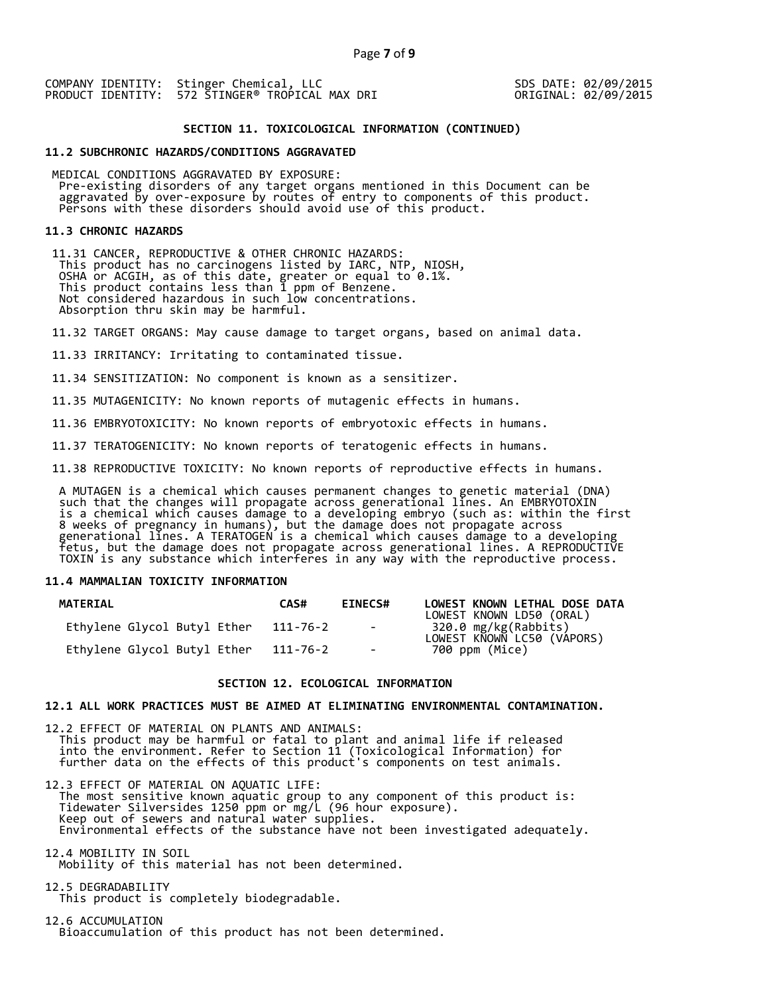## **SECTION 11. TOXICOLOGICAL INFORMATION (CONTINUED)**

### **11.2 SUBCHRONIC HAZARDS/CONDITIONS AGGRAVATED**

 MEDICAL CONDITIONS AGGRAVATED BY EXPOSURE: Pre-existing disorders of any target organs mentioned in this Document can be aggravated by over-exposure by routes of entry to components of this product. Persons with these disorders should avoid use of this product.

#### **11.3 CHRONIC HAZARDS**

 11.31 CANCER, REPRODUCTIVE & OTHER CHRONIC HAZARDS: This product has no carcinogens listed by IARC, NTP, NIOSH, OSHA or ACGIH, as of this date, greater or equal to 0.1%. This product contains less than 1 ppm of Benzene. Not considered hazardous in such low concentrations. Absorption thru skin may be harmful.

11.32 TARGET ORGANS: May cause damage to target organs, based on animal data.

11.33 IRRITANCY: Irritating to contaminated tissue.

11.34 SENSITIZATION: No component is known as a sensitizer.

11.35 MUTAGENICITY: No known reports of mutagenic effects in humans.

11.36 EMBRYOTOXICITY: No known reports of embryotoxic effects in humans.

11.37 TERATOGENICITY: No known reports of teratogenic effects in humans.

11.38 REPRODUCTIVE TOXICITY: No known reports of reproductive effects in humans.

 A MUTAGEN is a chemical which causes permanent changes to genetic material (DNA) such that the changes will propagate across generational lines. An EMBRYOTOXIN is a chemical which causes damage to a developing embryo (such as: within the first 8 weeks of pregnancy in humans), but the damage does not propagate across generational lines. A TERATOGEN is a chemical which causes damage to a developing fetus, but the damage does not propagate across generational lines. A REPRODUCTIVE TOXIN is any substance which interferes in any way with the reproductive process.

### **11.4 MAMMALIAN TOXICITY INFORMATION**

| <b>MATERIAL</b>             | CAS#     | <b>EINECS#</b>       | LOWEST KNOWN LETHAL DOSE DATA<br>LOWEST KNOWN LD50 (ORAL) |
|-----------------------------|----------|----------------------|-----------------------------------------------------------|
| Ethylene Glycol Butyl Ether | 111-76-2 | and the state of the | 320.0 mg/kg(Rabbits)<br>LOWEST KNOWN LC50 (VÁPORS)        |
| Ethylene Glycol Butyl Ether | 111-76-2 | $\sim$               | 700 ppm (Mice)                                            |

### **SECTION 12. ECOLOGICAL INFORMATION**

### **12.1 ALL WORK PRACTICES MUST BE AIMED AT ELIMINATING ENVIRONMENTAL CONTAMINATION.**

12.2 EFFECT OF MATERIAL ON PLANTS AND ANIMALS: This product may be harmful or fatal to plant and animal life if released into the environment. Refer to Section 11 (Toxicological Information) for further data on the effects of this product's components on test animals.

12.3 EFFECT OF MATERIAL ON AQUATIC LIFE: The most sensitive known aquatic group to any component of this product is: Tidewater Silversides 1250 ppm or mg/L (96 hour exposure). Keep out of sewers and natural water supplies. Environmental effects of the substance have not been investigated adequately.

12.4 MOBILITY IN SOIL Mobility of this material has not been determined.

12.5 DEGRADABILITY This product is completely biodegradable.

12.6 ACCUMULATION Bioaccumulation of this product has not been determined.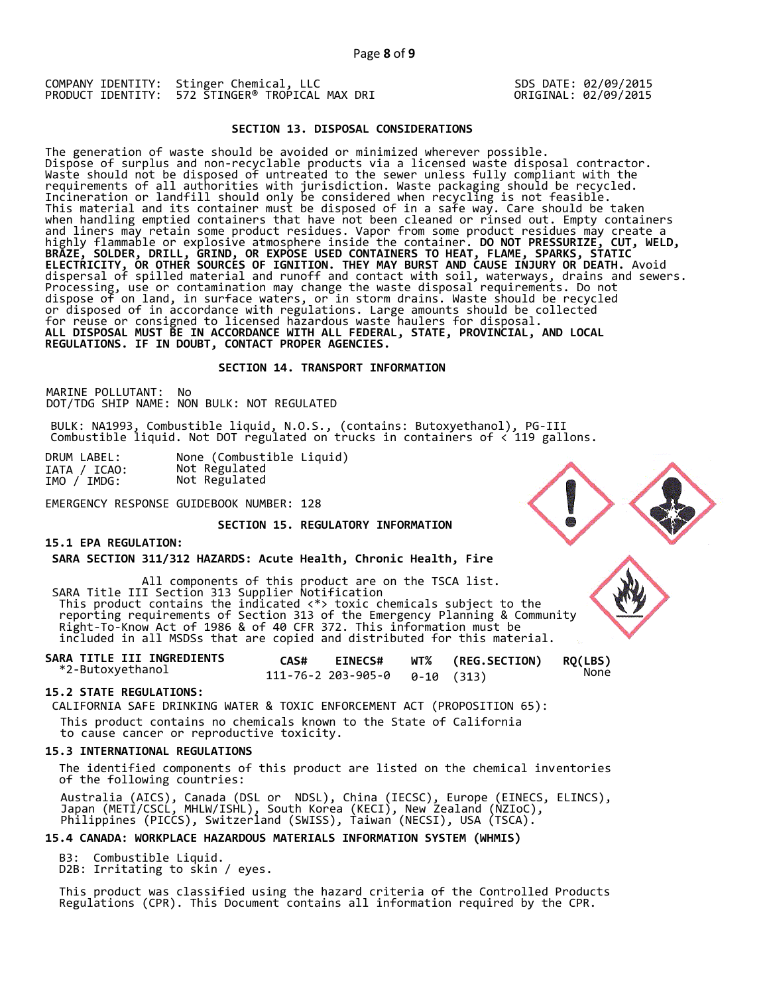### **SECTION 13. DISPOSAL CONSIDERATIONS**

The generation of waste should be avoided or minimized wherever possible. Dispose of surplus and non-recyclable products via a licensed waste disposal contractor. Waste should not be disposed of untreated to the sewer unless fully compliant with the requirements of all authorities with jurisdiction. Waste packaging should be recycled. Incineration or landfill should only be considered when recycling is not feasible. This material and its container must be disposed of in a safe way. Care should be taken when handling emptied containers that have not been cleaned or rinsed out. Empty containers and liners may retain some product residues. Vapor from some product residues may create a highly flammable or explosive atmosphere inside the container. **DO NOT PRESSURIZE, CUT, WELD, BRAZE, SOLDER, DRILL, GRIND, OR EXPOSE USED CONTAINERS TO HEAT, FLAME, SPARKS, STATIC ELECTRICITY, OR OTHER SOURCES OF IGNITION. THEY MAY BURST AND CAUSE INJURY OR DEATH.** Avoid dispersal of spilled material and runoff and contact with soil, waterways, drains and sewers. Processing, use or contamination may change the waste disposal requirements. Do not dispose of on land, in surface waters, or in storm drains. Waste should be recycled or disposed of in accordance with regulations. Large amounts should be collected for reuse or consigned to licensed hazardous waste haulers for disposal. **ALL DISPOSAL MUST BE IN ACCORDANCE WITH ALL FEDERAL, STATE, PROVINCIAL, AND LOCAL REGULATIONS. IF IN DOUBT, CONTACT PROPER AGENCIES.** 

### **SECTION 14. TRANSPORT INFORMATION**

MARINE POLLUTANT: No DOT/TDG SHIP NAME: NON BULK: NOT REGULATED

BULK: NA1993, Combustible liquid, N.O.S., (contains: Butoxyethanol), PG-III Combustible liquid. Not DOT regulated on trucks in containers of < 119 gallons.

| DRUM LABEL:  | None (Combustible Liquid) |
|--------------|---------------------------|
| IATA / ICAO: | Not Regulated             |
| IMO / IMDG:  | Not Regulated             |

EMERGENCY RESPONSE GUIDEBOOK NUMBER: 128

## **SECTION 15. REGULATORY INFORMATION**

### **15.1 EPA REGULATION:**

**SARA SECTION 311/312 HAZARDS: Acute Health, Chronic Health, Fire** 

All components of this product are on the TSCA list. SARA Title III Section 313 Supplier Notification This product contains the indicated <\*> toxic chemicals subject to the reporting requirements of Section 313 of the Emergency Planning & Community Right-To-Know Act of 1986 & of 40 CFR 372. This information must be included in all MSDSs that are copied and distributed for this material.

| SARA TITLE III INGREDIENTS | CAS# | <b>EINECS#</b> | WT% (REG.SECTION) | <b>RQ(LBS)</b> |
|----------------------------|------|----------------|-------------------|----------------|
| *2-Butoxyethanol           |      |                |                   | None           |

## **15.2 STATE REGULATIONS:**

CALIFORNIA SAFE DRINKING WATER & TOXIC ENFORCEMENT ACT (PROPOSITION 65):

This product contains no chemicals known to the State of California

to cause cancer or reproductive toxicity.

#### **15.3 INTERNATIONAL REGULATIONS**

 The identified components of this product are listed on the chemical inventories of the following countries:

 Australia (AICS), Canada (DSL or NDSL), China (IECSC), Europe (EINECS, ELINCS), Japan (METI/CSCL, MHLW/ISHL), South Korea (KECI), New Zealand (NZIoC), Philippines (PICCS), Switzerland (SWISS), Taiwan (NECSI), USA (TSCA).

## **15.4 CANADA: WORKPLACE HAZARDOUS MATERIALS INFORMATION SYSTEM (WHMIS)**

 B3: Combustible Liquid. D2B: Irritating to skin / eyes.

 This product was classified using the hazard criteria of the Controlled Products Regulations (CPR). This Document contains all information required by the CPR.